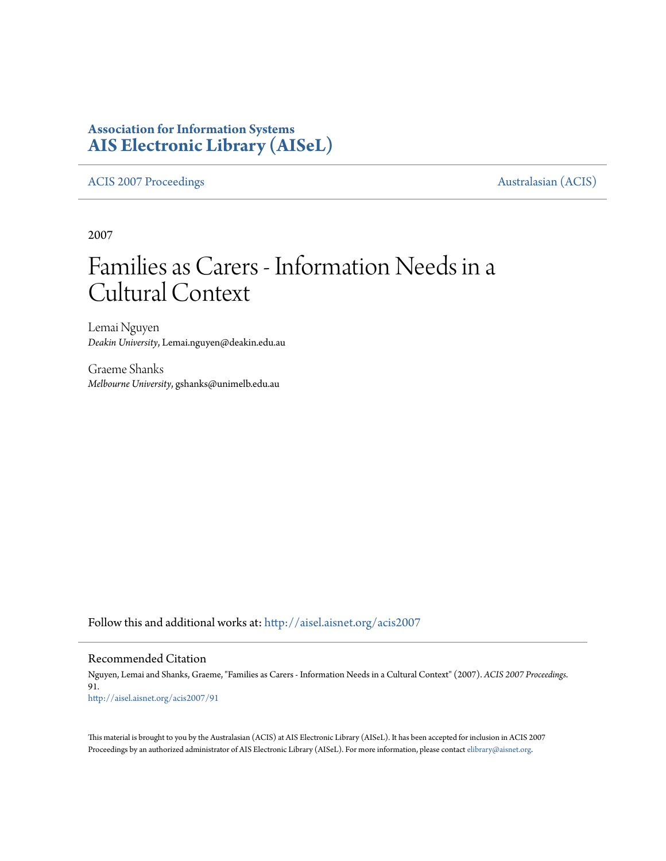# **Association for Information Systems [AIS Electronic Library \(AISeL\)](http://aisel.aisnet.org?utm_source=aisel.aisnet.org%2Facis2007%2F91&utm_medium=PDF&utm_campaign=PDFCoverPages)**

[ACIS 2007 Proceedings](http://aisel.aisnet.org/acis2007?utm_source=aisel.aisnet.org%2Facis2007%2F91&utm_medium=PDF&utm_campaign=PDFCoverPages) **Australasian** (ACIS)

2007

# Families as Carers - Information Needs in a Cultural Context

Lemai Nguyen *Deakin University*, Lemai.nguyen@deakin.edu.au

Graeme Shanks *Melbourne University*, gshanks@unimelb.edu.au

Follow this and additional works at: [http://aisel.aisnet.org/acis2007](http://aisel.aisnet.org/acis2007?utm_source=aisel.aisnet.org%2Facis2007%2F91&utm_medium=PDF&utm_campaign=PDFCoverPages)

### Recommended Citation

Nguyen, Lemai and Shanks, Graeme, "Families as Carers - Information Needs in a Cultural Context" (2007). *ACIS 2007 Proceedings*. 91. [http://aisel.aisnet.org/acis2007/91](http://aisel.aisnet.org/acis2007/91?utm_source=aisel.aisnet.org%2Facis2007%2F91&utm_medium=PDF&utm_campaign=PDFCoverPages)

This material is brought to you by the Australasian (ACIS) at AIS Electronic Library (AISeL). It has been accepted for inclusion in ACIS 2007 Proceedings by an authorized administrator of AIS Electronic Library (AISeL). For more information, please contact [elibrary@aisnet.org](mailto:elibrary@aisnet.org%3E).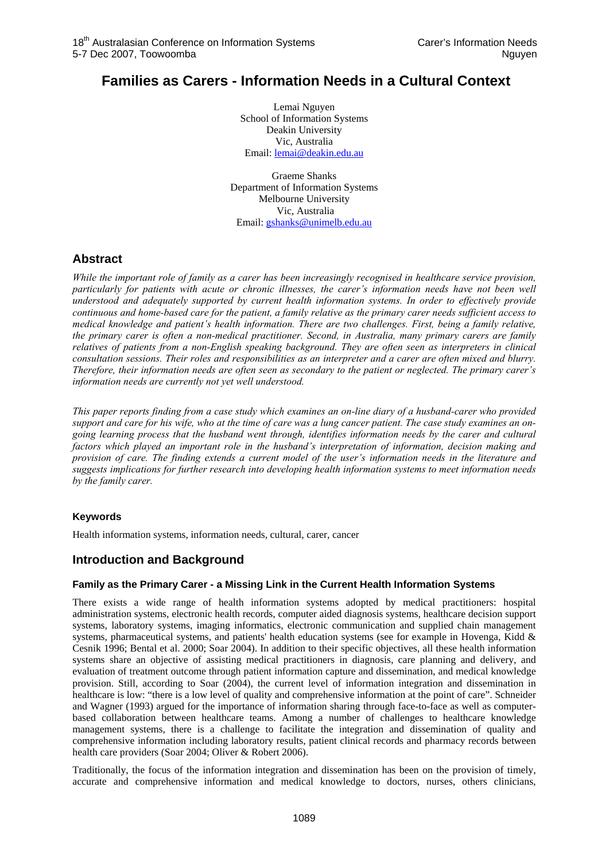## **Families as Carers - Information Needs in a Cultural Context**

Lemai Nguyen School of Information Systems Deakin University Vic, Australia Email: lemai@deakin.edu.au

Graeme Shanks Department of Information Systems Melbourne University Vic, Australia Email: gshanks@unimelb.edu.au

## **Abstract**

*While the important role of family as a carer has been increasingly recognised in healthcare service provision, particularly for patients with acute or chronic illnesses, the carer's information needs have not been well understood and adequately supported by current health information systems. In order to effectively provide continuous and home-based care for the patient, a family relative as the primary carer needs sufficient access to medical knowledge and patient's health information. There are two challenges. First, being a family relative, the primary carer is often a non-medical practitioner. Second, in Australia, many primary carers are family relatives of patients from a non-English speaking background. They are often seen as interpreters in clinical consultation sessions. Their roles and responsibilities as an interpreter and a carer are often mixed and blurry. Therefore, their information needs are often seen as secondary to the patient or neglected. The primary carer's information needs are currently not yet well understood.* 

*This paper reports finding from a case study which examines an on-line diary of a husband-carer who provided support and care for his wife, who at the time of care was a lung cancer patient. The case study examines an ongoing learning process that the husband went through, identifies information needs by the carer and cultural factors which played an important role in the husband's interpretation of information, decision making and provision of care. The finding extends a current model of the user's information needs in the literature and suggests implications for further research into developing health information systems to meet information needs by the family carer.* 

## **Keywords**

Health information systems, information needs, cultural, carer, cancer

## **Introduction and Background**

## **Family as the Primary Carer - a Missing Link in the Current Health Information Systems**

There exists a wide range of health information systems adopted by medical practitioners: hospital administration systems, electronic health records, computer aided diagnosis systems, healthcare decision support systems, laboratory systems, imaging informatics, electronic communication and supplied chain management systems, pharmaceutical systems, and patients' health education systems (see for example in Hovenga, Kidd & Cesnik 1996; Bental et al. 2000; Soar 2004). In addition to their specific objectives, all these health information systems share an objective of assisting medical practitioners in diagnosis, care planning and delivery, and evaluation of treatment outcome through patient information capture and dissemination, and medical knowledge provision. Still, according to Soar (2004), the current level of information integration and dissemination in healthcare is low: "there is a low level of quality and comprehensive information at the point of care". Schneider and Wagner (1993) argued for the importance of information sharing through face-to-face as well as computerbased collaboration between healthcare teams. Among a number of challenges to healthcare knowledge management systems, there is a challenge to facilitate the integration and dissemination of quality and comprehensive information including laboratory results, patient clinical records and pharmacy records between health care providers (Soar 2004; Oliver & Robert 2006).

Traditionally, the focus of the information integration and dissemination has been on the provision of timely, accurate and comprehensive information and medical knowledge to doctors, nurses, others clinicians,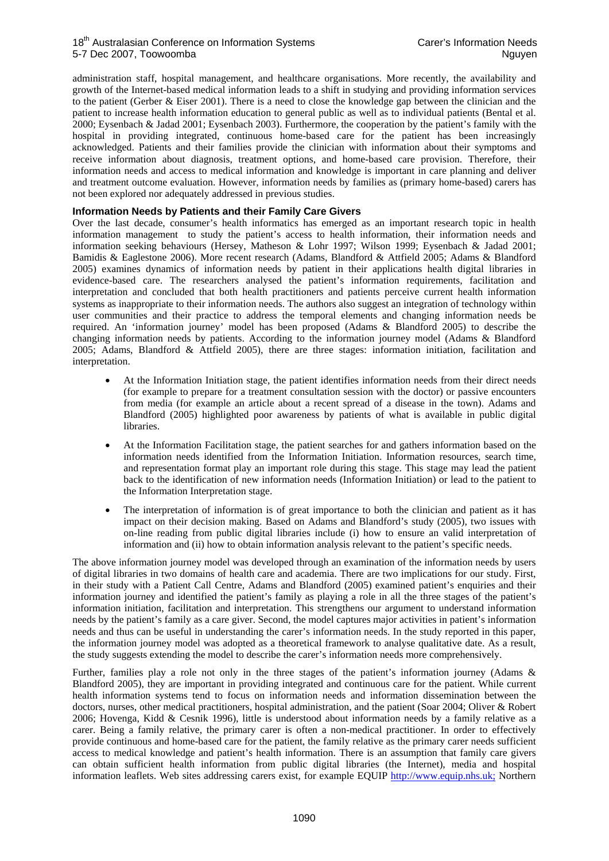administration staff, hospital management, and healthcare organisations. More recently, the availability and growth of the Internet-based medical information leads to a shift in studying and providing information services to the patient (Gerber & Eiser 2001). There is a need to close the knowledge gap between the clinician and the patient to increase health information education to general public as well as to individual patients (Bental et al. 2000; Eysenbach & Jadad 2001; Eysenbach 2003). Furthermore, the cooperation by the patient's family with the hospital in providing integrated, continuous home-based care for the patient has been increasingly acknowledged. Patients and their families provide the clinician with information about their symptoms and receive information about diagnosis, treatment options, and home-based care provision. Therefore, their information needs and access to medical information and knowledge is important in care planning and deliver and treatment outcome evaluation. However, information needs by families as (primary home-based) carers has not been explored nor adequately addressed in previous studies.

#### **Information Needs by Patients and their Family Care Givers**

Over the last decade, consumer's health informatics has emerged as an important research topic in health information management to study the patient's access to health information, their information needs and information seeking behaviours (Hersey, Matheson & Lohr 1997; Wilson 1999; Eysenbach & Jadad 2001; Bamidis & Eaglestone 2006). More recent research (Adams, Blandford & Attfield 2005; Adams & Blandford 2005) examines dynamics of information needs by patient in their applications health digital libraries in evidence-based care. The researchers analysed the patient's information requirements, facilitation and interpretation and concluded that both health practitioners and patients perceive current health information systems as inappropriate to their information needs. The authors also suggest an integration of technology within user communities and their practice to address the temporal elements and changing information needs be required. An 'information journey' model has been proposed (Adams & Blandford 2005) to describe the changing information needs by patients. According to the information journey model (Adams & Blandford 2005; Adams, Blandford & Attfield 2005), there are three stages: information initiation, facilitation and interpretation.

- At the Information Initiation stage, the patient identifies information needs from their direct needs (for example to prepare for a treatment consultation session with the doctor) or passive encounters from media (for example an article about a recent spread of a disease in the town). Adams and Blandford (2005) highlighted poor awareness by patients of what is available in public digital libraries.
- At the Information Facilitation stage, the patient searches for and gathers information based on the information needs identified from the Information Initiation. Information resources, search time, and representation format play an important role during this stage. This stage may lead the patient back to the identification of new information needs (Information Initiation) or lead to the patient to the Information Interpretation stage.
- The interpretation of information is of great importance to both the clinician and patient as it has impact on their decision making. Based on Adams and Blandford's study (2005), two issues with on-line reading from public digital libraries include (i) how to ensure an valid interpretation of information and (ii) how to obtain information analysis relevant to the patient's specific needs.

The above information journey model was developed through an examination of the information needs by users of digital libraries in two domains of health care and academia. There are two implications for our study. First, in their study with a Patient Call Centre, Adams and Blandford (2005) examined patient's enquiries and their information journey and identified the patient's family as playing a role in all the three stages of the patient's information initiation, facilitation and interpretation. This strengthens our argument to understand information needs by the patient's family as a care giver. Second, the model captures major activities in patient's information needs and thus can be useful in understanding the carer's information needs. In the study reported in this paper, the information journey model was adopted as a theoretical framework to analyse qualitative date. As a result, the study suggests extending the model to describe the carer's information needs more comprehensively.

Further, families play a role not only in the three stages of the patient's information journey (Adams & Blandford 2005), they are important in providing integrated and continuous care for the patient. While current health information systems tend to focus on information needs and information dissemination between the doctors, nurses, other medical practitioners, hospital administration, and the patient (Soar 2004; Oliver & Robert 2006; Hovenga, Kidd & Cesnik 1996), little is understood about information needs by a family relative as a carer. Being a family relative, the primary carer is often a non-medical practitioner. In order to effectively provide continuous and home-based care for the patient, the family relative as the primary carer needs sufficient access to medical knowledge and patient's health information. There is an assumption that family care givers can obtain sufficient health information from public digital libraries (the Internet), media and hospital information leaflets. Web sites addressing carers exist, for example EQUIP http://www.equip.nhs.uk; Northern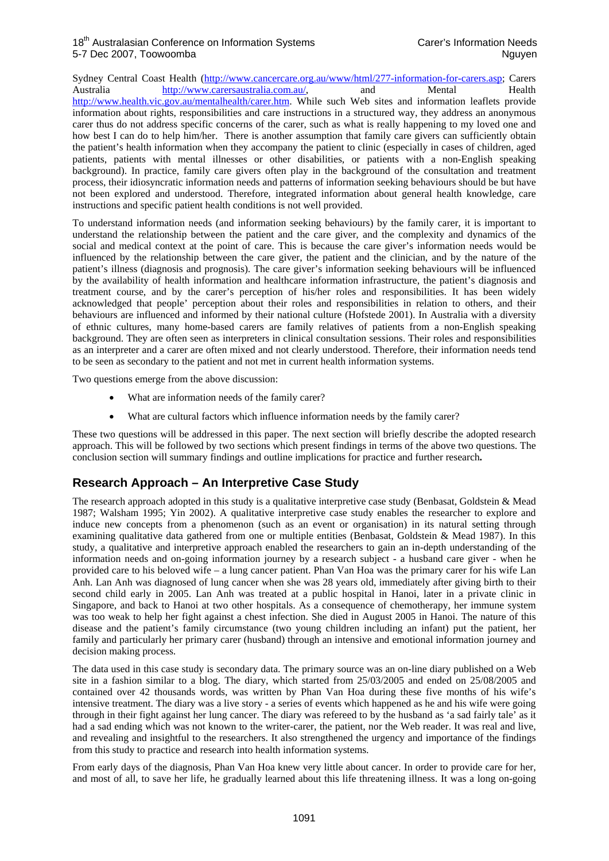Sydney Central Coast Health (http://www.cancercare.org.au/www/html/277-information-for-carers.asp; Carers Australia http://www.carersaustralia.com.au/, and Mental Health http://www.health.vic.gov.au/mentalhealth/carer.htm. While such Web sites and information leaflets provide information about rights, responsibilities and care instructions in a structured way, they address an anonymous carer thus do not address specific concerns of the carer, such as what is really happening to my loved one and how best I can do to help him/her. There is another assumption that family care givers can sufficiently obtain the patient's health information when they accompany the patient to clinic (especially in cases of children, aged patients, patients with mental illnesses or other disabilities, or patients with a non-English speaking background). In practice, family care givers often play in the background of the consultation and treatment process, their idiosyncratic information needs and patterns of information seeking behaviours should be but have not been explored and understood. Therefore, integrated information about general health knowledge, care instructions and specific patient health conditions is not well provided.

To understand information needs (and information seeking behaviours) by the family carer, it is important to understand the relationship between the patient and the care giver, and the complexity and dynamics of the social and medical context at the point of care. This is because the care giver's information needs would be influenced by the relationship between the care giver, the patient and the clinician, and by the nature of the patient's illness (diagnosis and prognosis). The care giver's information seeking behaviours will be influenced by the availability of health information and healthcare information infrastructure, the patient's diagnosis and treatment course, and by the carer's perception of his/her roles and responsibilities. It has been widely acknowledged that people' perception about their roles and responsibilities in relation to others, and their behaviours are influenced and informed by their national culture (Hofstede 2001). In Australia with a diversity of ethnic cultures, many home-based carers are family relatives of patients from a non-English speaking background. They are often seen as interpreters in clinical consultation sessions. Their roles and responsibilities as an interpreter and a carer are often mixed and not clearly understood. Therefore, their information needs tend to be seen as secondary to the patient and not met in current health information systems.

Two questions emerge from the above discussion:

- What are information needs of the family carer?
- What are cultural factors which influence information needs by the family carer?

These two questions will be addressed in this paper. The next section will briefly describe the adopted research approach. This will be followed by two sections which present findings in terms of the above two questions. The conclusion section will summary findings and outline implications for practice and further research**.** 

## **Research Approach – An Interpretive Case Study**

The research approach adopted in this study is a qualitative interpretive case study (Benbasat, Goldstein & Mead 1987; Walsham 1995; Yin 2002). A qualitative interpretive case study enables the researcher to explore and induce new concepts from a phenomenon (such as an event or organisation) in its natural setting through examining qualitative data gathered from one or multiple entities (Benbasat, Goldstein & Mead 1987). In this study, a qualitative and interpretive approach enabled the researchers to gain an in-depth understanding of the information needs and on-going information journey by a research subject - a husband care giver - when he provided care to his beloved wife – a lung cancer patient. Phan Van Hoa was the primary carer for his wife Lan Anh. Lan Anh was diagnosed of lung cancer when she was 28 years old, immediately after giving birth to their second child early in 2005. Lan Anh was treated at a public hospital in Hanoi, later in a private clinic in Singapore, and back to Hanoi at two other hospitals. As a consequence of chemotherapy, her immune system was too weak to help her fight against a chest infection. She died in August 2005 in Hanoi. The nature of this disease and the patient's family circumstance (two young children including an infant) put the patient, her family and particularly her primary carer (husband) through an intensive and emotional information journey and decision making process.

The data used in this case study is secondary data. The primary source was an on-line diary published on a Web site in a fashion similar to a blog. The diary, which started from 25/03/2005 and ended on 25/08/2005 and contained over 42 thousands words, was written by Phan Van Hoa during these five months of his wife's intensive treatment. The diary was a live story - a series of events which happened as he and his wife were going through in their fight against her lung cancer. The diary was refereed to by the husband as 'a sad fairly tale' as it had a sad ending which was not known to the writer-carer, the patient, nor the Web reader. It was real and live, and revealing and insightful to the researchers. It also strengthened the urgency and importance of the findings from this study to practice and research into health information systems.

From early days of the diagnosis, Phan Van Hoa knew very little about cancer. In order to provide care for her, and most of all, to save her life, he gradually learned about this life threatening illness. It was a long on-going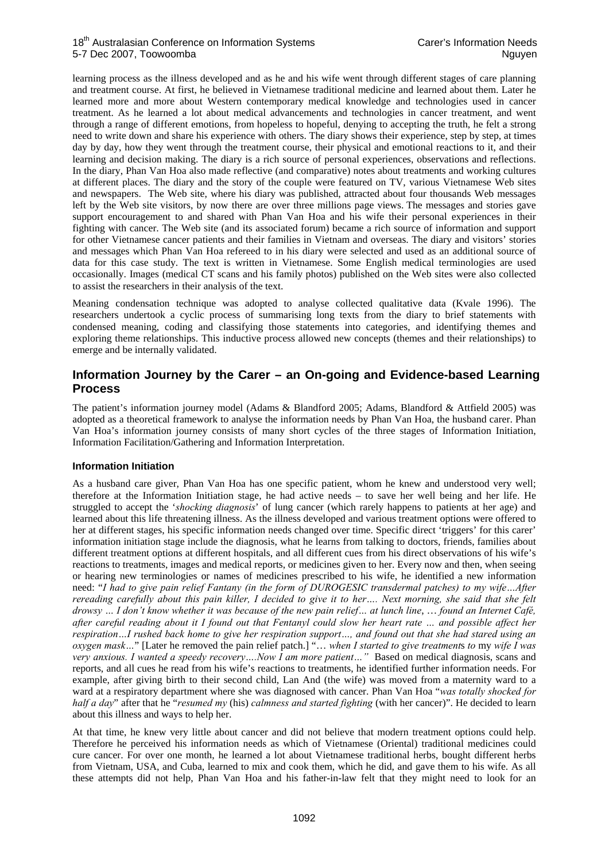learning process as the illness developed and as he and his wife went through different stages of care planning and treatment course. At first, he believed in Vietnamese traditional medicine and learned about them. Later he learned more and more about Western contemporary medical knowledge and technologies used in cancer treatment. As he learned a lot about medical advancements and technologies in cancer treatment, and went through a range of different emotions, from hopeless to hopeful, denying to accepting the truth, he felt a strong need to write down and share his experience with others. The diary shows their experience, step by step, at times day by day, how they went through the treatment course, their physical and emotional reactions to it, and their learning and decision making. The diary is a rich source of personal experiences, observations and reflections. In the diary, Phan Van Hoa also made reflective (and comparative) notes about treatments and working cultures at different places. The diary and the story of the couple were featured on TV, various Vietnamese Web sites and newspapers. The Web site, where his diary was published, attracted about four thousands Web messages left by the Web site visitors, by now there are over three millions page views. The messages and stories gave support encouragement to and shared with Phan Van Hoa and his wife their personal experiences in their fighting with cancer. The Web site (and its associated forum) became a rich source of information and support for other Vietnamese cancer patients and their families in Vietnam and overseas. The diary and visitors' stories and messages which Phan Van Hoa refereed to in his diary were selected and used as an additional source of data for this case study. The text is written in Vietnamese. Some English medical terminologies are used occasionally. Images (medical CT scans and his family photos) published on the Web sites were also collected to assist the researchers in their analysis of the text.

Meaning condensation technique was adopted to analyse collected qualitative data (Kvale 1996). The researchers undertook a cyclic process of summarising long texts from the diary to brief statements with condensed meaning, coding and classifying those statements into categories, and identifying themes and exploring theme relationships. This inductive process allowed new concepts (themes and their relationships) to emerge and be internally validated.

## **Information Journey by the Carer – an On-going and Evidence-based Learning Process**

The patient's information journey model (Adams & Blandford 2005; Adams, Blandford & Attfield 2005) was adopted as a theoretical framework to analyse the information needs by Phan Van Hoa, the husband carer. Phan Van Hoa's information journey consists of many short cycles of the three stages of Information Initiation, Information Facilitation/Gathering and Information Interpretation.

## **Information Initiation**

As a husband care giver, Phan Van Hoa has one specific patient, whom he knew and understood very well; therefore at the Information Initiation stage, he had active needs – to save her well being and her life. He struggled to accept the '*shocking diagnosis*' of lung cancer (which rarely happens to patients at her age) and learned about this life threatening illness. As the illness developed and various treatment options were offered to her at different stages, his specific information needs changed over time. Specific direct 'triggers' for this carer' information initiation stage include the diagnosis, what he learns from talking to doctors, friends, families about different treatment options at different hospitals, and all different cues from his direct observations of his wife's reactions to treatments, images and medical reports, or medicines given to her. Every now and then, when seeing or hearing new terminologies or names of medicines prescribed to his wife, he identified a new information need: "*I had to give pain relief Fantany (in the form of DUROGESIC transdermal patches) to my wife…After rereading carefully about this pain killer, I decided to give it to her…. Next morning, she said that she felt drowsy … I don't know whether it was because of the new pain relief… at lunch line*, … *found an Internet Café, after careful reading about it I found out that Fentanyl could slow her heart rate … and possible affect her respiration…I rushed back home to give her respiration support…, and found out that she had stared using an oxygen mask…*" [Later he removed the pain relief patch.] "… *when I started to give treatment*s *to* my *wife I was very anxious. I wanted a speedy recovery….Now I am more patient…"* Based on medical diagnosis, scans and reports, and all cues he read from his wife's reactions to treatments, he identified further information needs. For example, after giving birth to their second child, Lan And (the wife) was moved from a maternity ward to a ward at a respiratory department where she was diagnosed with cancer. Phan Van Hoa "*was totally shocked for half a day*" after that he "*resumed my* (his) *calmness and started fighting* (with her cancer)". He decided to learn about this illness and ways to help her.

At that time, he knew very little about cancer and did not believe that modern treatment options could help. Therefore he perceived his information needs as which of Vietnamese (Oriental) traditional medicines could cure cancer. For over one month, he learned a lot about Vietnamese traditional herbs, bought different herbs from Vietnam, USA, and Cuba, learned to mix and cook them, which he did, and gave them to his wife. As all these attempts did not help, Phan Van Hoa and his father-in-law felt that they might need to look for an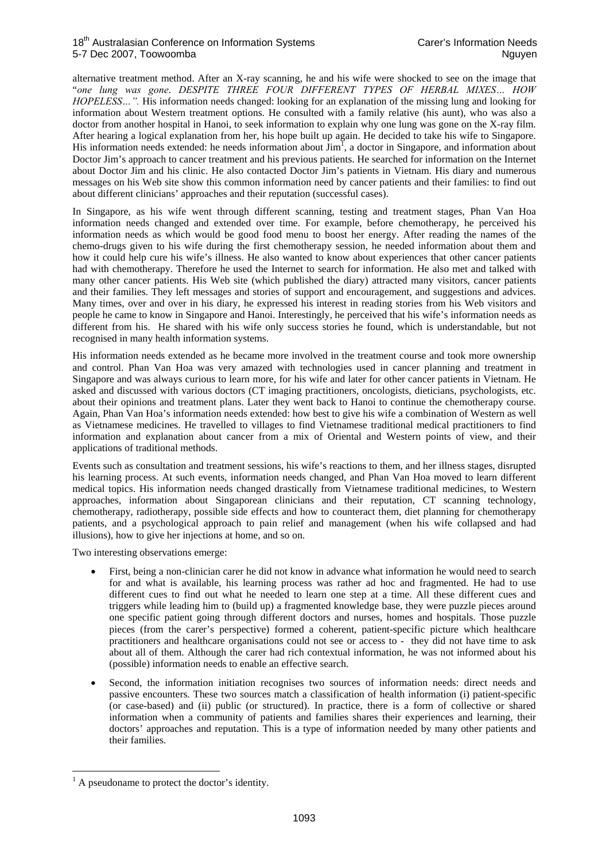alternative treatment method. After an X-ray scanning, he and his wife were shocked to see on the image that "*one lung was gone*. *DESPITE THREE FOUR DIFFERENT TYPES OF HERBAL MIXES… HOW HOPELESS…".* His information needs changed: looking for an explanation of the missing lung and looking for information about Western treatment options. He consulted with a family relative (his aunt), who was also a doctor from another hospital in Hanoi, to seek information to explain why one lung was gone on the X-ray film. After hearing a logical explanation from her, his hope built up again. He decided to take his wife to Singapore. His information needs extended: he needs information about  $\lim_{h \to 0} I$ , a doctor in Singapore, and information about Doctor Jim's approach to cancer treatment and his previous patients. He searched for information on the Internet about Doctor Jim and his clinic. He also contacted Doctor Jim's patients in Vietnam. His diary and numerous messages on his Web site show this common information need by cancer patients and their families: to find out about different clinicians' approaches and their reputation (successful cases).

In Singapore, as his wife went through different scanning, testing and treatment stages, Phan Van Hoa information needs changed and extended over time. For example, before chemotherapy, he perceived his information needs as which would be good food menu to boost her energy. After reading the names of the chemo-drugs given to his wife during the first chemotherapy session, he needed information about them and how it could help cure his wife's illness. He also wanted to know about experiences that other cancer patients had with chemotherapy. Therefore he used the Internet to search for information. He also met and talked with many other cancer patients. His Web site (which published the diary) attracted many visitors, cancer patients and their families. They left messages and stories of support and encouragement, and suggestions and advices. Many times, over and over in his diary, he expressed his interest in reading stories from his Web visitors and people he came to know in Singapore and Hanoi. Interestingly, he perceived that his wife's information needs as different from his. He shared with his wife only success stories he found, which is understandable, but not recognised in many health information systems.

His information needs extended as he became more involved in the treatment course and took more ownership and control. Phan Van Hoa was very amazed with technologies used in cancer planning and treatment in Singapore and was always curious to learn more, for his wife and later for other cancer patients in Vietnam. He asked and discussed with various doctors (CT imaging practitioners, oncologists, dieticians, psychologists, etc. about their opinions and treatment plans. Later they went back to Hanoi to continue the chemotherapy course. Again, Phan Van Hoa's information needs extended: how best to give his wife a combination of Western as well as Vietnamese medicines. He travelled to villages to find Vietnamese traditional medical practitioners to find information and explanation about cancer from a mix of Oriental and Western points of view, and their applications of traditional methods.

Events such as consultation and treatment sessions, his wife's reactions to them, and her illness stages, disrupted his learning process. At such events, information needs changed, and Phan Van Hoa moved to learn different medical topics. His information needs changed drastically from Vietnamese traditional medicines, to Western approaches, information about Singaporean clinicians and their reputation, CT scanning technology, chemotherapy, radiotherapy, possible side effects and how to counteract them, diet planning for chemotherapy patients, and a psychological approach to pain relief and management (when his wife collapsed and had illusions), how to give her injections at home, and so on.

Two interesting observations emerge:

- First, being a non-clinician carer he did not know in advance what information he would need to search for and what is available, his learning process was rather ad hoc and fragmented. He had to use different cues to find out what he needed to learn one step at a time. All these different cues and triggers while leading him to (build up) a fragmented knowledge base, they were puzzle pieces around one specific patient going through different doctors and nurses, homes and hospitals. Those puzzle pieces (from the carer's perspective) formed a coherent, patient-specific picture which healthcare practitioners and healthcare organisations could not see or access to - they did not have time to ask about all of them. Although the carer had rich contextual information, he was not informed about his (possible) information needs to enable an effective search.
- Second, the information initiation recognises two sources of information needs: direct needs and passive encounters. These two sources match a classification of health information (i) patient-specific (or case-based) and (ii) public (or structured). In practice, there is a form of collective or shared information when a community of patients and families shares their experiences and learning, their doctors' approaches and reputation. This is a type of information needed by many other patients and their families.

<sup>&</sup>lt;sup>1</sup> A pseudoname to protect the doctor's identity.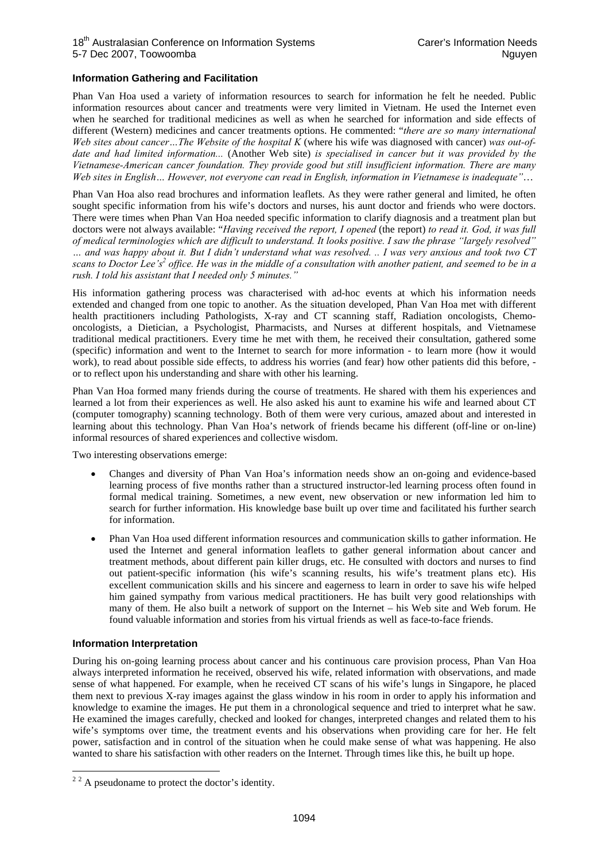#### **Information Gathering and Facilitation**

Phan Van Hoa used a variety of information resources to search for information he felt he needed. Public information resources about cancer and treatments were very limited in Vietnam. He used the Internet even when he searched for traditional medicines as well as when he searched for information and side effects of different (Western) medicines and cancer treatments options. He commented: "*there are so many international Web sites about cancer…The Website of the hospital K* (where his wife was diagnosed with cancer) *was out-ofdate and had limited information...* (Another Web site) *is specialised in cancer but it was provided by the Vietnamese-American cancer foundation. They provide good but still insufficient information. There are many Web sites in English… However, not everyone can read in English, information in Vietnamese is inadequate"*…

Phan Van Hoa also read brochures and information leaflets. As they were rather general and limited, he often sought specific information from his wife's doctors and nurses, his aunt doctor and friends who were doctors. There were times when Phan Van Hoa needed specific information to clarify diagnosis and a treatment plan but doctors were not always available: "*Having received the report, I opened* (the report) *to read it. God, it was full of medical terminologies which are difficult to understand. It looks positive. I saw the phrase "largely resolved" … and was happy about it. But I didn't understand what was resolved. .. I was very anxious and took two CT*  scans to Doctor Lee's<sup>2</sup> office. He was in the middle of a consultation with another patient, and seemed to be in a *rush. I told his assistant that I needed only 5 minutes."*

His information gathering process was characterised with ad-hoc events at which his information needs extended and changed from one topic to another. As the situation developed, Phan Van Hoa met with different health practitioners including Pathologists, X-ray and CT scanning staff, Radiation oncologists, Chemooncologists, a Dietician, a Psychologist, Pharmacists, and Nurses at different hospitals, and Vietnamese traditional medical practitioners. Every time he met with them, he received their consultation, gathered some (specific) information and went to the Internet to search for more information - to learn more (how it would work), to read about possible side effects, to address his worries (and fear) how other patients did this before, or to reflect upon his understanding and share with other his learning.

Phan Van Hoa formed many friends during the course of treatments. He shared with them his experiences and learned a lot from their experiences as well. He also asked his aunt to examine his wife and learned about CT (computer tomography) scanning technology. Both of them were very curious, amazed about and interested in learning about this technology. Phan Van Hoa's network of friends became his different (off-line or on-line) informal resources of shared experiences and collective wisdom.

Two interesting observations emerge:

- Changes and diversity of Phan Van Hoa's information needs show an on-going and evidence-based learning process of five months rather than a structured instructor-led learning process often found in formal medical training. Sometimes, a new event, new observation or new information led him to search for further information. His knowledge base built up over time and facilitated his further search for information.
- Phan Van Hoa used different information resources and communication skills to gather information. He used the Internet and general information leaflets to gather general information about cancer and treatment methods, about different pain killer drugs, etc. He consulted with doctors and nurses to find out patient-specific information (his wife's scanning results, his wife's treatment plans etc). His excellent communication skills and his sincere and eagerness to learn in order to save his wife helped him gained sympathy from various medical practitioners. He has built very good relationships with many of them. He also built a network of support on the Internet – his Web site and Web forum. He found valuable information and stories from his virtual friends as well as face-to-face friends.

#### **Information Interpretation**

During his on-going learning process about cancer and his continuous care provision process, Phan Van Hoa always interpreted information he received, observed his wife, related information with observations, and made sense of what happened. For example, when he received CT scans of his wife's lungs in Singapore, he placed them next to previous X-ray images against the glass window in his room in order to apply his information and knowledge to examine the images. He put them in a chronological sequence and tried to interpret what he saw. He examined the images carefully, checked and looked for changes, interpreted changes and related them to his wife's symptoms over time, the treatment events and his observations when providing care for her. He felt power, satisfaction and in control of the situation when he could make sense of what was happening. He also wanted to share his satisfaction with other readers on the Internet. Through times like this, he built up hope.

<sup>&</sup>lt;sup>2</sup><sup>2</sup> A pseudoname to protect the doctor's identity.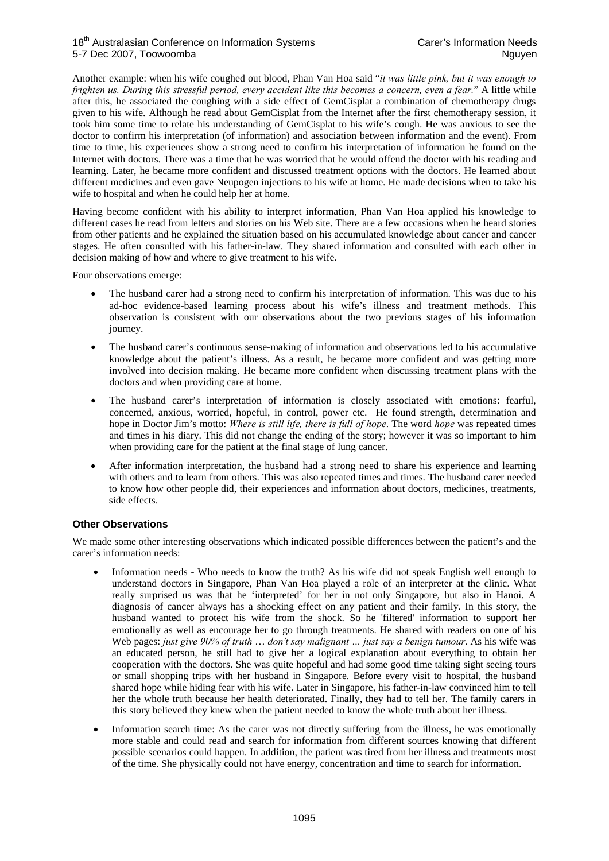Another example: when his wife coughed out blood, Phan Van Hoa said "*it was little pink, but it was enough to frighten us. During this stressful period, every accident like this becomes a concern, even a fear.*" A little while after this, he associated the coughing with a side effect of GemCisplat a combination of chemotherapy drugs given to his wife. Although he read about GemCisplat from the Internet after the first chemotherapy session, it took him some time to relate his understanding of GemCisplat to his wife's cough. He was anxious to see the doctor to confirm his interpretation (of information) and association between information and the event). From time to time, his experiences show a strong need to confirm his interpretation of information he found on the Internet with doctors. There was a time that he was worried that he would offend the doctor with his reading and learning. Later, he became more confident and discussed treatment options with the doctors. He learned about different medicines and even gave Neupogen injections to his wife at home. He made decisions when to take his wife to hospital and when he could help her at home.

Having become confident with his ability to interpret information, Phan Van Hoa applied his knowledge to different cases he read from letters and stories on his Web site. There are a few occasions when he heard stories from other patients and he explained the situation based on his accumulated knowledge about cancer and cancer stages. He often consulted with his father-in-law. They shared information and consulted with each other in decision making of how and where to give treatment to his wife.

Four observations emerge:

- The husband carer had a strong need to confirm his interpretation of information. This was due to his ad-hoc evidence-based learning process about his wife's illness and treatment methods. This observation is consistent with our observations about the two previous stages of his information journey.
- The husband carer's continuous sense-making of information and observations led to his accumulative knowledge about the patient's illness. As a result, he became more confident and was getting more involved into decision making. He became more confident when discussing treatment plans with the doctors and when providing care at home.
- The husband carer's interpretation of information is closely associated with emotions: fearful, concerned, anxious, worried, hopeful, in control, power etc. He found strength, determination and hope in Doctor Jim's motto: *Where is still life, there is full of hope*. The word *hope* was repeated times and times in his diary. This did not change the ending of the story; however it was so important to him when providing care for the patient at the final stage of lung cancer.
- After information interpretation, the husband had a strong need to share his experience and learning with others and to learn from others. This was also repeated times and times. The husband carer needed to know how other people did, their experiences and information about doctors, medicines, treatments, side effects.

## **Other Observations**

We made some other interesting observations which indicated possible differences between the patient's and the carer's information needs:

- Information needs Who needs to know the truth? As his wife did not speak English well enough to understand doctors in Singapore, Phan Van Hoa played a role of an interpreter at the clinic. What really surprised us was that he 'interpreted' for her in not only Singapore, but also in Hanoi. A diagnosis of cancer always has a shocking effect on any patient and their family. In this story, the husband wanted to protect his wife from the shock. So he 'filtered' information to support her emotionally as well as encourage her to go through treatments. He shared with readers on one of his Web pages: *just give 90% of truth* … *don't say malignant … just say a benign tumour*. As his wife was an educated person, he still had to give her a logical explanation about everything to obtain her cooperation with the doctors. She was quite hopeful and had some good time taking sight seeing tours or small shopping trips with her husband in Singapore. Before every visit to hospital, the husband shared hope while hiding fear with his wife. Later in Singapore, his father-in-law convinced him to tell her the whole truth because her health deteriorated. Finally, they had to tell her. The family carers in this story believed they knew when the patient needed to know the whole truth about her illness.
- Information search time: As the carer was not directly suffering from the illness, he was emotionally more stable and could read and search for information from different sources knowing that different possible scenarios could happen. In addition, the patient was tired from her illness and treatments most of the time. She physically could not have energy, concentration and time to search for information.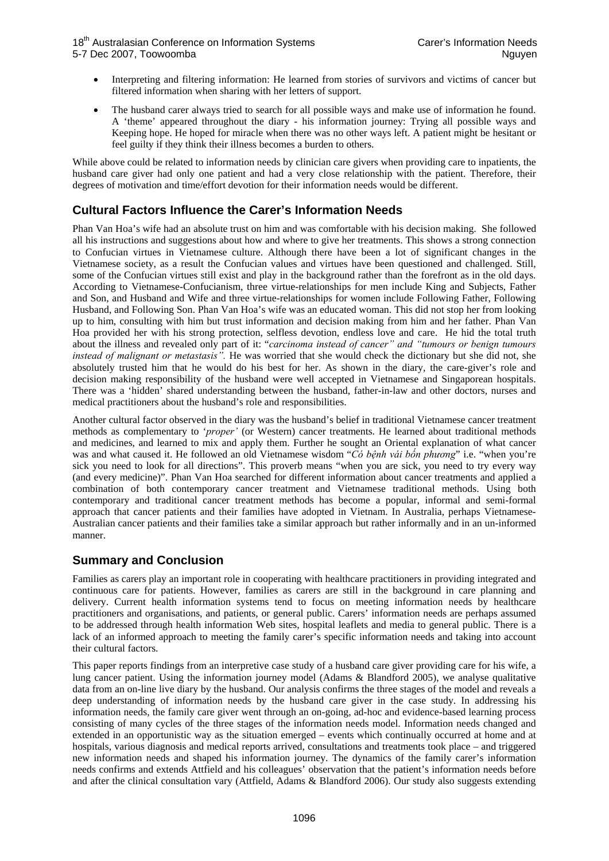- Interpreting and filtering information: He learned from stories of survivors and victims of cancer but filtered information when sharing with her letters of support.
- The husband carer always tried to search for all possible ways and make use of information he found. A 'theme' appeared throughout the diary - his information journey: Trying all possible ways and Keeping hope. He hoped for miracle when there was no other ways left. A patient might be hesitant or feel guilty if they think their illness becomes a burden to others.

While above could be related to information needs by clinician care givers when providing care to inpatients, the husband care giver had only one patient and had a very close relationship with the patient. Therefore, their degrees of motivation and time/effort devotion for their information needs would be different.

## **Cultural Factors Influence the Carer's Information Needs**

Phan Van Hoa's wife had an absolute trust on him and was comfortable with his decision making. She followed all his instructions and suggestions about how and where to give her treatments. This shows a strong connection to Confucian virtues in Vietnamese culture. Although there have been a lot of significant changes in the Vietnamese society, as a result the Confucian values and virtues have been questioned and challenged. Still, some of the Confucian virtues still exist and play in the background rather than the forefront as in the old days. According to Vietnamese-Confucianism, three virtue-relationships for men include King and Subjects, Father and Son, and Husband and Wife and three virtue-relationships for women include Following Father, Following Husband, and Following Son. Phan Van Hoa's wife was an educated woman. This did not stop her from looking up to him, consulting with him but trust information and decision making from him and her father. Phan Van Hoa provided her with his strong protection, selfless devotion, endless love and care. He hid the total truth about the illness and revealed only part of it: "*carcinoma instead of cancer" and "tumours or benign tumours instead of malignant or metastasis".* He was worried that she would check the dictionary but she did not, she absolutely trusted him that he would do his best for her. As shown in the diary, the care-giver's role and decision making responsibility of the husband were well accepted in Vietnamese and Singaporean hospitals. There was a 'hidden' shared understanding between the husband, father-in-law and other doctors, nurses and medical practitioners about the husband's role and responsibilities.

Another cultural factor observed in the diary was the husband's belief in traditional Vietnamese cancer treatment methods as complementary to '*proper'* (or Western) cancer treatments. He learned about traditional methods and medicines, and learned to mix and apply them. Further he sought an Oriental explanation of what cancer was and what caused it. He followed an old Vietnamese wisdom "*Có bệnh vái bốn phương*" i.e. "when you're sick you need to look for all directions". This proverb means "when you are sick, you need to try every way (and every medicine)". Phan Van Hoa searched for different information about cancer treatments and applied a combination of both contemporary cancer treatment and Vietnamese traditional methods. Using both contemporary and traditional cancer treatment methods has become a popular, informal and semi-formal approach that cancer patients and their families have adopted in Vietnam. In Australia, perhaps Vietnamese-Australian cancer patients and their families take a similar approach but rather informally and in an un-informed manner.

## **Summary and Conclusion**

Families as carers play an important role in cooperating with healthcare practitioners in providing integrated and continuous care for patients. However, families as carers are still in the background in care planning and delivery. Current health information systems tend to focus on meeting information needs by healthcare practitioners and organisations, and patients, or general public. Carers' information needs are perhaps assumed to be addressed through health information Web sites, hospital leaflets and media to general public. There is a lack of an informed approach to meeting the family carer's specific information needs and taking into account their cultural factors.

This paper reports findings from an interpretive case study of a husband care giver providing care for his wife, a lung cancer patient. Using the information journey model (Adams & Blandford 2005), we analyse qualitative data from an on-line live diary by the husband. Our analysis confirms the three stages of the model and reveals a deep understanding of information needs by the husband care giver in the case study. In addressing his information needs, the family care giver went through an on-going, ad-hoc and evidence-based learning process consisting of many cycles of the three stages of the information needs model. Information needs changed and extended in an opportunistic way as the situation emerged – events which continually occurred at home and at hospitals, various diagnosis and medical reports arrived, consultations and treatments took place – and triggered new information needs and shaped his information journey. The dynamics of the family carer's information needs confirms and extends Attfield and his colleagues' observation that the patient's information needs before and after the clinical consultation vary (Attfield, Adams & Blandford 2006). Our study also suggests extending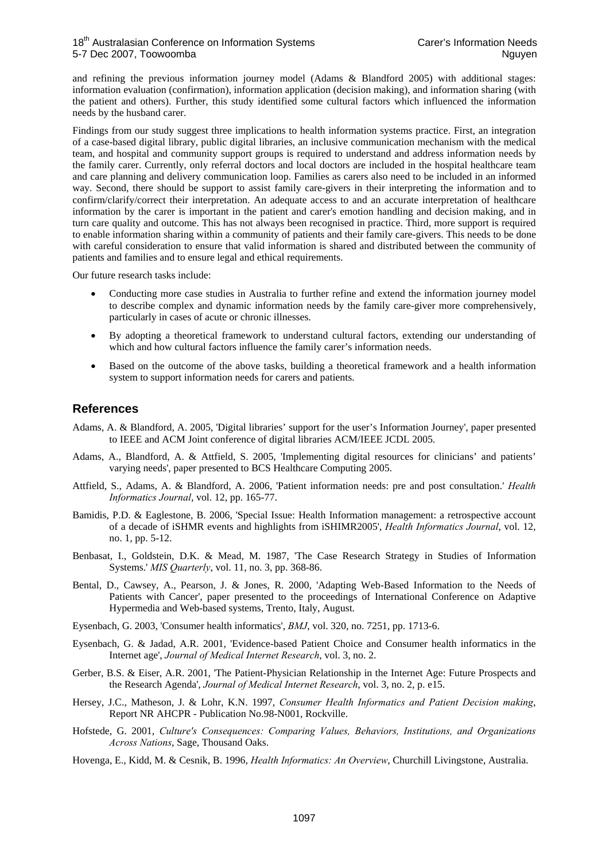and refining the previous information journey model (Adams & Blandford 2005) with additional stages: information evaluation (confirmation), information application (decision making), and information sharing (with the patient and others). Further, this study identified some cultural factors which influenced the information needs by the husband carer.

Findings from our study suggest three implications to health information systems practice. First, an integration of a case-based digital library, public digital libraries, an inclusive communication mechanism with the medical team, and hospital and community support groups is required to understand and address information needs by the family carer. Currently, only referral doctors and local doctors are included in the hospital healthcare team and care planning and delivery communication loop. Families as carers also need to be included in an informed way. Second, there should be support to assist family care-givers in their interpreting the information and to confirm/clarify/correct their interpretation. An adequate access to and an accurate interpretation of healthcare information by the carer is important in the patient and carer's emotion handling and decision making, and in turn care quality and outcome. This has not always been recognised in practice. Third, more support is required to enable information sharing within a community of patients and their family care-givers. This needs to be done with careful consideration to ensure that valid information is shared and distributed between the community of patients and families and to ensure legal and ethical requirements.

Our future research tasks include:

- Conducting more case studies in Australia to further refine and extend the information journey model to describe complex and dynamic information needs by the family care-giver more comprehensively, particularly in cases of acute or chronic illnesses.
- By adopting a theoretical framework to understand cultural factors, extending our understanding of which and how cultural factors influence the family carer's information needs.
- Based on the outcome of the above tasks, building a theoretical framework and a health information system to support information needs for carers and patients.

## **References**

- Adams, A. & Blandford, A. 2005, 'Digital libraries' support for the user's Information Journey', paper presented to IEEE and ACM Joint conference of digital libraries ACM/IEEE JCDL 2005.
- Adams, A., Blandford, A. & Attfield, S. 2005, 'Implementing digital resources for clinicians' and patients' varying needs', paper presented to BCS Healthcare Computing 2005.
- Attfield, S., Adams, A. & Blandford, A. 2006, 'Patient information needs: pre and post consultation.' *Health Informatics Journal*, vol. 12, pp. 165-77.
- Bamidis, P.D. & Eaglestone, B. 2006, 'Special Issue: Health Information management: a retrospective account of a decade of iSHMR events and highlights from iSHIMR2005', *Health Informatics Journal*, vol. 12, no. 1, pp. 5-12.
- Benbasat, I., Goldstein, D.K. & Mead, M. 1987, 'The Case Research Strategy in Studies of Information Systems.' *MIS Quarterly*, vol. 11, no. 3, pp. 368-86.
- Bental, D., Cawsey, A., Pearson, J. & Jones, R. 2000, 'Adapting Web-Based Information to the Needs of Patients with Cancer', paper presented to the proceedings of International Conference on Adaptive Hypermedia and Web-based systems, Trento, Italy, August.
- Eysenbach, G. 2003, 'Consumer health informatics', *BMJ*, vol. 320, no. 7251, pp. 1713-6.
- Eysenbach, G. & Jadad, A.R. 2001, 'Evidence-based Patient Choice and Consumer health informatics in the Internet age', *Journal of Medical Internet Research*, vol. 3, no. 2.
- Gerber, B.S. & Eiser, A.R. 2001, 'The Patient-Physician Relationship in the Internet Age: Future Prospects and the Research Agenda', *Journal of Medical Internet Research*, vol. 3, no. 2, p. e15.
- Hersey, J.C., Matheson, J. & Lohr, K.N. 1997, *Consumer Health Informatics and Patient Decision making*, Report NR AHCPR - Publication No.98-N001, Rockville.
- Hofstede, G. 2001, *Culture's Consequences: Comparing Values, Behaviors, Institutions, and Organizations Across Nations*, Sage, Thousand Oaks.
- Hovenga, E., Kidd, M. & Cesnik, B. 1996, *Health Informatics: An Overview*, Churchill Livingstone, Australia.